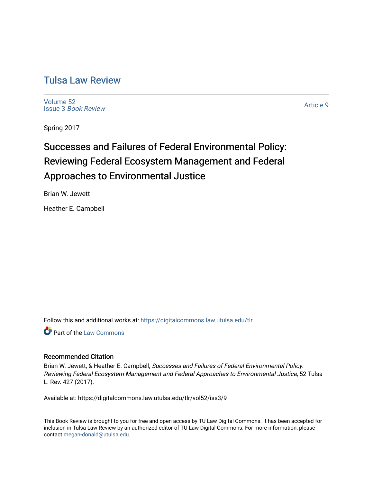# [Tulsa Law Review](https://digitalcommons.law.utulsa.edu/tlr)

[Volume 52](https://digitalcommons.law.utulsa.edu/tlr/vol52) Issue 3 [Book Review](https://digitalcommons.law.utulsa.edu/tlr/vol52/iss3)

[Article 9](https://digitalcommons.law.utulsa.edu/tlr/vol52/iss3/9) 

Spring 2017

# Successes and Failures of Federal Environmental Policy: Reviewing Federal Ecosystem Management and Federal Approaches to Environmental Justice

Brian W. Jewett

Heather E. Campbell

Follow this and additional works at: [https://digitalcommons.law.utulsa.edu/tlr](https://digitalcommons.law.utulsa.edu/tlr?utm_source=digitalcommons.law.utulsa.edu%2Ftlr%2Fvol52%2Fiss3%2F9&utm_medium=PDF&utm_campaign=PDFCoverPages) 

Part of the [Law Commons](http://network.bepress.com/hgg/discipline/578?utm_source=digitalcommons.law.utulsa.edu%2Ftlr%2Fvol52%2Fiss3%2F9&utm_medium=PDF&utm_campaign=PDFCoverPages)

# Recommended Citation

Brian W. Jewett, & Heather E. Campbell, Successes and Failures of Federal Environmental Policy: Reviewing Federal Ecosystem Management and Federal Approaches to Environmental Justice, 52 Tulsa L. Rev. 427 (2017).

Available at: https://digitalcommons.law.utulsa.edu/tlr/vol52/iss3/9

This Book Review is brought to you for free and open access by TU Law Digital Commons. It has been accepted for inclusion in Tulsa Law Review by an authorized editor of TU Law Digital Commons. For more information, please contact [megan-donald@utulsa.edu.](mailto:megan-donald@utulsa.edu)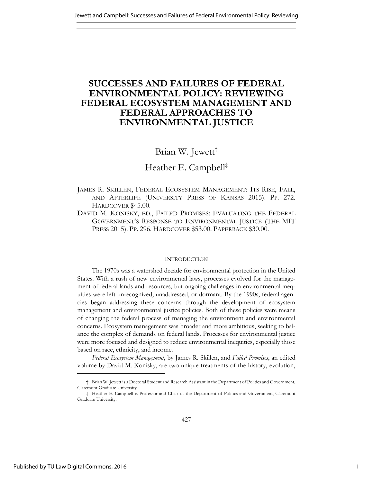# **SUCCESSES AND FAILURES OF FEDERAL ENVIRONMENTAL POLICY: REVIEWING FEDERAL ECOSYSTEM MANAGEMENT AND FEDERAL APPROACHES TO ENVIRONMENTAL JUSTICE**

# Brian W. Jewett†

# Heather E. Campbell‡

JAMES R. SKILLEN, FEDERAL ECOSYSTEM MANAGEMENT: ITS RISE, FALL, AND AFTERLIFE (UNIVERSITY PRESS OF KANSAS 2015). PP. 272. HARDCOVER \$45.00.

DAVID M. KONISKY, ED., FAILED PROMISES: EVALUATING THE FEDERAL GOVERNMENT'S RESPONSE TO ENVIRONMENTAL JUSTICE (THE MIT PRESS 2015). PP. 296. HARDCOVER \$53.00. PAPERBACK \$30.00.

## **INTRODUCTION**

The 1970s was a watershed decade for environmental protection in the United States. With a rush of new environmental laws, processes evolved for the management of federal lands and resources, but ongoing challenges in environmental inequities were left unrecognized, unaddressed, or dormant. By the 1990s, federal agencies began addressing these concerns through the development of ecosystem management and environmental justice policies. Both of these policies were means of changing the federal process of managing the environment and environmental concerns. Ecosystem management was broader and more ambitious, seeking to balance the complex of demands on federal lands. Processes for environmental justice were more focused and designed to reduce environmental inequities, especially those based on race, ethnicity, and income.

*Federal Ecosystem Management*, by James R. Skillen, and *Failed Promises*, an edited volume by David M. Konisky, are two unique treatments of the history, evolution,

<sup>†</sup> Brian W. Jewett is a Doctoral Student and Research Assistant in the Department of Politics and Government, Claremont Graduate University.

<sup>‡</sup> Heather E. Campbell is Professor and Chair of the Department of Politics and Government, Claremont Graduate University.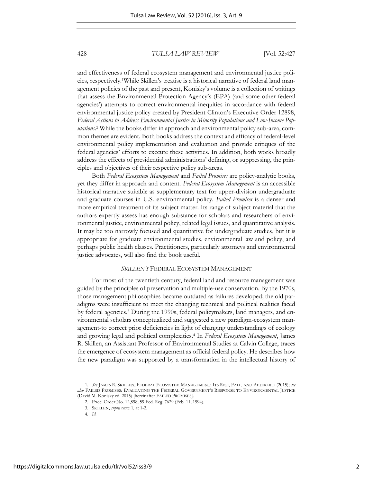<span id="page-2-0"></span>and effectiveness of federal ecosystem management and environmental justice policies, respectively.1While Skillen's treatise is a historical narrative of federal land management policies of the past and present, Konisky's volume is a collection of writings that assess the Environmental Protection Agency's (EPA) (and some other federal agencies') attempts to correct environmental inequities in accordance with federal environmental justice policy created by President Clinton's Executive Order 12898, *Federal Actions to Address Environmental Justice in Minority Populations and Low-Income Populations*. 2 While the books differ in approach and environmental policy sub-area, common themes are evident. Both books address the context and efficacy of federal-level environmental policy implementation and evaluation and provide critiques of the federal agencies' efforts to execute these activities. In addition, both works broadly address the effects of presidential administrations' defining, or suppressing, the principles and objectives of their respective policy sub-areas.

Both *Federal Ecosystem Management* and *Failed Promises* are policy-analytic books, yet they differ in approach and content. *Federal Ecosystem Management* is an accessible historical narrative suitable as supplementary text for upper-division undergraduate and graduate courses in U.S. environmental policy. *Failed Promises* is a denser and more empirical treatment of its subject matter. Its range of subject material that the authors expertly assess has enough substance for scholars and researchers of environmental justice, environmental policy, related legal issues, and quantitative analysis. It may be too narrowly focused and quantitative for undergraduate studies, but it is appropriate for graduate environmental studies, environmental law and policy, and perhaps public health classes. Practitioners, particularly attorneys and environmental justice advocates, will also find the book useful.

#### *SKILLEN'S* FEDERAL ECOSYSTEM MANAGEMENT

For most of the twentieth century, federal land and resource management was guided by the principles of preservation and multiple-use conservation. By the 1970s, those management philosophies became outdated as failures developed; the old paradigms were insufficient to meet the changing technical and political realities faced by federal agencies.<sup>3</sup> During the 1990s, federal policymakers, land managers, and environmental scholars conceptualized and suggested a new paradigm-ecosystem management-to correct prior deficiencies in light of changing understandings of ecology and growing legal and political complexities.<sup>4</sup> In *Federal Ecosystem Management*, James R. Skillen, an Assistant Professor of Environmental Studies at Calvin College, traces the emergence of ecosystem management as official federal policy. He describes how the new paradigm was supported by a transformation in the intellectual history of

<sup>1.</sup> *See* JAMES R. SKILLEN, FEDERAL ECOSYSTEM MANAGEMENT: ITS RISE, FALL, AND AFTERLIFE (2015); *see also* FAILED PROMISES: EVALUATING THE FEDERAL GOVERNMENT'S RESPONSE TO ENVIRONMENTAL JUSTICE (David M. Konisky ed. 2015) [hereinafter FAILED PROMISES].

<sup>2.</sup> Exec. Order No. 12,898, 59 Fed. Reg. 7629 (Feb. 11, 1994).

<sup>3.</sup> SKILLEN, *supra* note 1, at 1-2.

<sup>4.</sup> *Id.*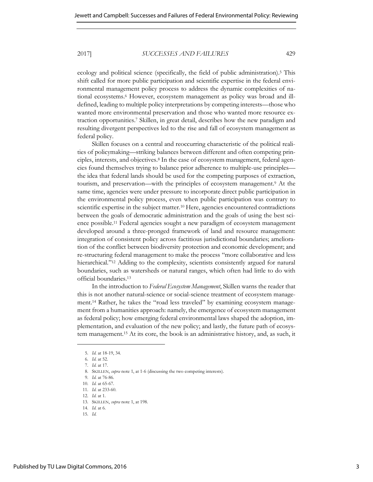ecology and political science (specifically, the field of public administration).<sup>5</sup> This shift called for more public participation and scientific expertise in the federal environmental management policy process to address the dynamic complexities of national ecosystems.<sup>6</sup> However, ecosystem management as policy was broad and illdefined, leading to multiple policy interpretations by competing interests—those who wanted more environmental preservation and those who wanted more resource extraction opportunities.<sup>7</sup> Skillen, in great detail, describes how the new paradigm and resulting divergent perspectives led to the rise and fall of ecosystem management as federal policy.

Skillen focuses on a central and reoccurring characteristic of the political realities of policymaking—striking balances between different and often competing principles, interests, and objectives.<sup>8</sup> In the case of ecosystem management, federal agencies found themselves trying to balance prior adherence to multiple-use principles the idea that federal lands should be used for the competing purposes of extraction, tourism, and preservation—with the principles of ecosystem management.<sup>9</sup> At the same time, agencies were under pressure to incorporate direct public participation in the environmental policy process, even when public participation was contrary to scientific expertise in the subject matter.<sup>10</sup> Here, agencies encountered contradictions between the goals of democratic administration and the goals of using the best science possible.11 Federal agencies sought a new paradigm of ecosystem management developed around a three-pronged framework of land and resource management: integration of consistent policy across factitious jurisdictional boundaries; amelioration of the conflict between biodiversity protection and economic development; and re-structuring federal management to make the process "more collaborative and less hierarchical." <sup>12</sup> Adding to the complexity, scientists consistently argued for natural boundaries, such as watersheds or natural ranges, which often had little to do with official boundaries.<sup>13</sup>

In the introduction to *Federal Ecosystem Management*, Skillen warns the reader that this is not another natural-science or social-science treatment of ecosystem management.14 Rather, he takes the "road less traveled" by examining ecosystem management from a humanities approach: namely, the emergence of ecosystem management as federal policy; how emerging federal environmental laws shaped the adoption, implementation, and evaluation of the new policy; and lastly, the future path of ecosystem management.15 At its core, the book is an administrative history, and, as such, it

<sup>5.</sup> *Id.* at 18-19, 34.

<sup>6.</sup> *Id.* at 52.

<sup>7.</sup> *Id.* at 17.

<sup>8.</sup> SKILLEN, *supra* note 1, at 1-6 (discussing the two competing interests).

<sup>9.</sup> *Id.* at 76-86.

<sup>10.</sup> *Id.* at 65-67.

<sup>11.</sup> *Id.* at 233-60.

<sup>12.</sup> *Id.* at 1.

<sup>13.</sup> SKILLEN, *supra* note 1, at 198.

<sup>14.</sup> *Id.* at 6.

<sup>15.</sup> *Id.*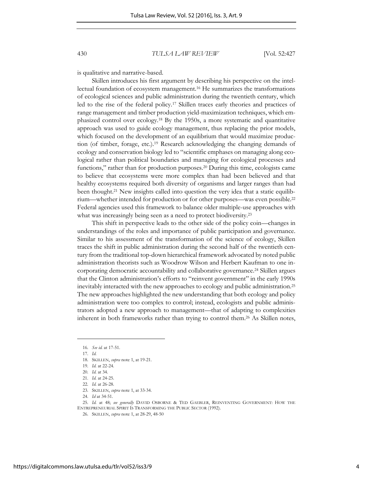is qualitative and narrative-based.

Skillen introduces his first argument by describing his perspective on the intellectual foundation of ecosystem management.16 He summarizes the transformations of ecological sciences and public administration during the twentieth century, which led to the rise of the federal policy.17 Skillen traces early theories and practices of range management and timber production yield-maximization techniques, which emphasized control over ecology.18 By the 1950s, a more systematic and quantitative approach was used to guide ecology management, thus replacing the prior models, which focused on the development of an equilibrium that would maximize production (of timber, forage, etc.).19 Research acknowledging the changing demands of ecology and conservation biology led to "scientific emphases on managing along ecological rather than political boundaries and managing for ecological processes and functions," rather than for production purposes.<sup>20</sup> During this time, ecologists came to believe that ecosystems were more complex than had been believed and that healthy ecosystems required both diversity of organisms and larger ranges than had been thought.21 New insights called into question the very idea that a static equilibrium—whether intended for production or for other purposes—was even possible.<sup>22</sup> Federal agencies used this framework to balance older multiple-use approaches with what was increasingly being seen as a need to protect biodiversity.<sup>23</sup>

This shift in perspective leads to the other side of the policy coin—changes in understandings of the roles and importance of public participation and governance. Similar to his assessment of the transformation of the science of ecology, Skillen traces the shift in public administration during the second half of the twentieth century from the traditional top-down hierarchical framework advocated by noted public administration theorists such as Woodrow Wilson and Herbert Kaufman to one incorporating democratic accountability and collaborative governance.<sup>24</sup> Skillen argues that the Clinton administration's efforts to "reinvent government" in the early 1990s inevitably interacted with the new approaches to ecology and public administration.<sup>25</sup> The new approaches highlighted the new understanding that both ecology and policy administration were too complex to control; instead, ecologists and public administrators adopted a new approach to management—that of adapting to complexities inherent in both frameworks rather than trying to control them.26 As Skillen notes,

l

25. *Id.* at 48; *see generally* DAVID OSBORNE & TED GAEBLER, REINVENTING GOVERNMENT: HOW THE ENTREPRENEURIAL SPIRIT IS TRANSFORMING THE PUBLIC SECTOR (1992).

<sup>16.</sup> *See id.* at 17-51.

<sup>17.</sup> *Id.*

<sup>18.</sup> SKILLEN, *supra* note 1, at 19-21.

<sup>19.</sup> *Id.* at 22-24.

<sup>20.</sup> *Id.* at 34. 21. *Id.* at 24-25.

<sup>22.</sup> *Id.* at 26-28.

<sup>23.</sup> SKILLEN, *supra* note 1, at 33-34.

<sup>24.</sup> *Id* at 34-51.

<sup>26.</sup> SKILLEN, *supra* not[e 1,](#page-2-0) at 28-29, 48-50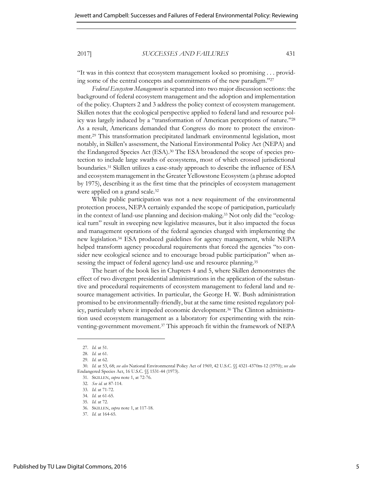"It was in this context that ecosystem management looked so promising . . . providing some of the central concepts and commitments of the new paradigm." 27

*Federal Ecosystem Management* is separated into two major discussion sections: the background of federal ecosystem management and the adoption and implementation of the policy. Chapters 2 and 3 address the policy context of ecosystem management. Skillen notes that the ecological perspective applied to federal land and resource policy was largely induced by a "transformation of American perceptions of nature." 28 As a result, Americans demanded that Congress do more to protect the environment.29 This transformation precipitated landmark environmental legislation, most notably, in Skillen's assessment, the National Environmental Policy Act (NEPA) and the Endangered Species Act (ESA).30 The ESA broadened the scope of species protection to include large swaths of ecosystems, most of which crossed jurisdictional boundaries.31 Skillen utilizes a case-study approach to describe the influence of ESA and ecosystem management in the Greater Yellowstone Ecosystem (a phrase adopted by 1975), describing it as the first time that the principles of ecosystem management were applied on a grand scale.<sup>32</sup>

While public participation was not a new requirement of the environmental protection process, NEPA certainly expanded the scope of participation, particularly in the context of land-use planning and decision-making.<sup>33</sup> Not only did the "ecological turn" result in sweeping new legislative measures, but it also impacted the focus and management operations of the federal agencies charged with implementing the new legislation.34 ESA produced guidelines for agency management, while NEPA helped transform agency procedural requirements that forced the agencies "to consider new ecological science and to encourage broad public participation" when assessing the impact of federal agency land-use and resource planning.<sup>35</sup>

The heart of the book lies in Chapters 4 and 5, where Skillen demonstrates the effect of two divergent presidential administrations in the application of the substantive and procedural requirements of ecosystem management to federal land and resource management activities. In particular, the George H. W. Bush administration promised to be environmentally-friendly, but at the same time resisted regulatory policy, particularly where it impeded economic development.36 The Clinton administration used ecosystem management as a laboratory for experimenting with the reinventing-government movement.37 This approach fit within the framework of NEPA

<sup>27.</sup> *Id.* at 51.

<sup>28.</sup> *Id.* at 61.

<sup>29.</sup> *Id.* at 62.

<sup>30.</sup> *Id.* at 53, 68; *see also* National Environmental Policy Act of 1969, 42 U.S.C. §§ 4321-4370m-12 (1970); *see also* Endangered Species Act, 16 U.S.C. §§ 1531-44 (1973).

<sup>31.</sup> SKILLEN, *supra* not[e 1,](#page-2-0) at 72-76.

<sup>32.</sup> *See id.* at 87-114.

<sup>33.</sup> *Id.* at 71-72.

<sup>34.</sup> *Id.* at 61-65.

<sup>35.</sup> *Id.* at 72.

<sup>36.</sup> SKILLEN, *supra* not[e 1,](#page-2-0) at 117-18.

<sup>37.</sup> *Id.* at 164-65.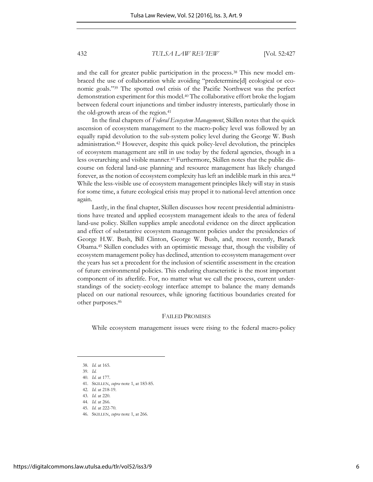and the call for greater public participation in the process.38 This new model embraced the use of collaboration while avoiding "predetermine[d] ecological or economic goals." <sup>39</sup> The spotted owl crisis of the Pacific Northwest was the perfect demonstration experiment for this model.40 The collaborative effort broke the logjam between federal court injunctions and timber industry interests, particularly those in the old-growth areas of the region.<sup>41</sup>

In the final chapters of *Federal Ecosystem Management*, Skillen notes that the quick ascension of ecosystem management to the macro-policy level was followed by an equally rapid devolution to the sub-system policy level during the George W. Bush administration.42 However, despite this quick policy-level devolution, the principles of ecosystem management are still in use today by the federal agencies, though in a less overarching and visible manner.43 Furthermore, Skillen notes that the public discourse on federal land-use planning and resource management has likely changed forever, as the notion of ecosystem complexity has left an indelible mark in this area.<sup>44</sup> While the less-visible use of ecosystem management principles likely will stay in stasis for some time, a future ecological crisis may propel it to national-level attention once again.

Lastly, in the final chapter, Skillen discusses how recent presidential administrations have treated and applied ecosystem management ideals to the area of federal land-use policy. Skillen supplies ample anecdotal evidence on the direct application and effect of substantive ecosystem management policies under the presidencies of George H.W. Bush, Bill Clinton, George W. Bush, and, most recently, Barack Obama.45 Skillen concludes with an optimistic message that, though the visibility of ecosystem management policy has declined, attention to ecosystem management over the years has set a precedent for the inclusion of scientific assessment in the creation of future environmental policies. This enduring characteristic is the most important component of its afterlife. For, no matter what we call the process, current understandings of the society-ecology interface attempt to balance the many demands placed on our national resources, while ignoring factitious boundaries created for other purposes.<sup>46</sup>

#### FAILED PROMISES

While ecosystem management issues were rising to the federal macro-policy

l

46. SKILLEN, *supra* note 1, at 266.

https://digitalcommons.law.utulsa.edu/tlr/vol52/iss3/9

<sup>38.</sup> *Id.* at 165.

<sup>39.</sup> *Id.* 40. *Id.* at 177.

<sup>41.</sup> SKILLEN, *supra* note 1, at 183-85.

<sup>42.</sup> *Id.* at 218-19.

<sup>43.</sup> *Id.* at 220. 44. *Id.* at 266.

<sup>45.</sup> *Id.* at 222-70.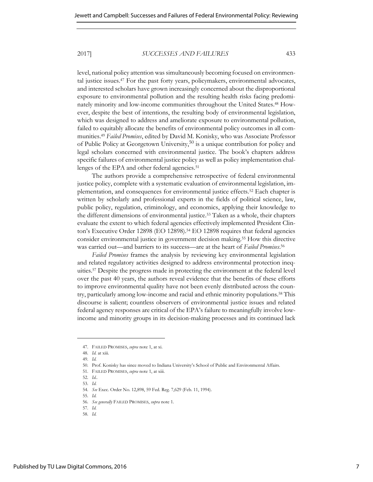level, national policy attention was simultaneously becoming focused on environmental justice issues.47 For the past forty years, policymakers, environmental advocates, and interested scholars have grown increasingly concerned about the disproportional exposure to environmental pollution and the resulting health risks facing predominately minority and low-income communities throughout the United States.48 However, despite the best of intentions, the resulting body of environmental legislation, which was designed to address and ameliorate exposure to environmental pollution, failed to equitably allocate the benefits of environmental policy outcomes in all communities.<sup>49</sup> *Failed Promises*, edited by David M. Konisky, who was Associate Professor of Public Policy at Georgetown University,50 is a unique contribution for policy and legal scholars concerned with environmental justice. The book's chapters address specific failures of environmental justice policy as well as policy implementation challenges of the EPA and other federal agencies.<sup>51</sup>

The authors provide a comprehensive retrospective of federal environmental justice policy, complete with a systematic evaluation of environmental legislation, implementation, and consequences for environmental justice effects.52 Each chapter is written by scholarly and professional experts in the fields of political science, law, public policy, regulation, criminology, and economics, applying their knowledge to the different dimensions of environmental justice.<sup>53</sup> Taken as a whole, their chapters evaluate the extent to which federal agencies effectively implemented President Clinton's Executive Order 12898 (EO 12898).<sup>54</sup> EO 12898 requires that federal agencies consider environmental justice in government decision making.55 How this directive was carried out—and barriers to its success—are at the heart of *Failed Promises*. 56

*Failed Promises* frames the analysis by reviewing key environmental legislation and related regulatory activities designed to address environmental protection inequities.57 Despite the progress made in protecting the environment at the federal level over the past 40 years, the authors reveal evidence that the benefits of these efforts to improve environmental quality have not been evenly distributed across the country, particularly among low-income and racial and ethnic minority populations.58 This discourse is salient; countless observers of environmental justice issues and related federal agency responses are critical of the EPA's failure to meaningfully involve lowincome and minority groups in its decision-making processes and its continued lack

<sup>47.</sup> FAILED PROMISES, *supra* note 1, at xi.

<sup>48.</sup> *Id.* at xiii.

<sup>49.</sup> *Id.*

<sup>50.</sup> Prof. Konisky has since moved to Indiana University's School of Public and Environmental Affairs.

<sup>51.</sup> FAILED PROMISES, *supra* note 1, at xiii.

<sup>52.</sup> *Id..* 

<sup>53.</sup> *Id.* 

<sup>54.</sup> *See* Exec. Order No. 12,898, 59 Fed. Reg. 7,629 (Feb. 11, 1994).

<sup>55.</sup> *Id.*

<sup>56.</sup> *See generally* FAILED PROMISES, *supra* note 1.

<sup>57.</sup> *Id.*  58. *Id.*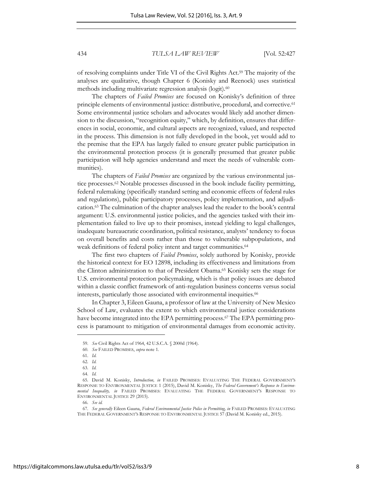of resolving complaints under [Title VI of the Civil Rights Act.](http://www.justice.gov/crt/about/cor/coord/titlevi.php) <sup>59</sup> The majority of the analyses are qualitative, though Chapter 6 (Konisky and Reenock) uses statistical methods including multivariate regression analysis (logit).<sup>60</sup>

The chapters of *Failed Promises* are focused on Konisky's definition of three principle elements of environmental justice: distributive, procedural, and corrective.<sup>61</sup> Some environmental justice scholars and advocates would likely add another dimension to the discussion, "recognition equity," which, by definition, ensures that differences in social, economic, and cultural aspects are recognized, valued, and respected in the process. This dimension is not fully developed in the book, yet would add to the premise that the EPA has largely failed to ensure greater public participation in the environmental protection process (it is generally presumed that greater public participation will help agencies understand and meet the needs of vulnerable communities).

The chapters of *Failed Promises* are organized by the various environmental justice processes.62 Notable processes discussed in the book include facility permitting, federal rulemaking (specifically standard setting and economic effects of federal rules and regulations), public participatory processes, policy implementation, and adjudication.<sup>63</sup> The culmination of the chapter analyses lead the reader to the book's central argument: U.S. environmental justice policies, and the agencies tasked with their implementation failed to live up to their promises, instead yielding to legal challenges, inadequate bureaucratic coordination, political resistance, analysts' tendency to focus on overall benefits and costs rather than those to vulnerable subpopulations, and weak definitions of federal policy intent and target communities.<sup>64</sup>

The first two chapters of *Failed Promises*, solely authored by Konisky, provide the historical context for EO 12898, including its effectiveness and limitations from the Clinton administration to that of President Obama.65 Konisky sets the stage for U.S. environmental protection policymaking, which is that policy issues are debated within a classic conflict framework of anti-regulation business concerns versus social interests, particularly those associated with environmental inequities.<sup>66</sup>

In Chapter 3, Eileen Gauna, a professor of law at the University of New Mexico School of Law, evaluates the extent to which environmental justice considerations have become integrated into the EPA permitting process.<sup>67</sup> The EPA permitting process is paramount to mitigation of environmental damages from economic activity.

<sup>59.</sup> *See* Civil Rights Act of 1964, 42 U.S.C.A. § 2000d (1964).

<sup>60.</sup> *See* FAILED PROMISES, *supra* note 1.

<sup>61.</sup> *Id.* 

<sup>62.</sup> *Id.* 

<sup>63.</sup> *Id.* 

<sup>64.</sup> *Id.* 

<sup>65.</sup> David M. Konisky, *Introduction, in* FAILED PROMISES: EVALUATING THE FEDERAL GOVERNMENT'S RESPONSE TO ENVIRONMENTAL JUSTICE 1 (2015), David M. Konisky, *The Federal Government's Response to Environmental Inequality, in* FAILED PROMISES: EVALUATING THE FEDERAL GOVERNMENT'S RESPONSE TO ENVIRONMENTAL JUSTICE 29 (2015).

<sup>66.</sup> *See id.* 

<sup>67.</sup> *See generally* Eileen Gauna, *Federal Environmental Justice Police in Permitting, in* FAILED PROMISES: EVALUATING THE FEDERAL GOVERNMENT'S RESPONSE TO ENVIRONMENTAL JUSTICE 57 (David M. Konisky ed., 2015).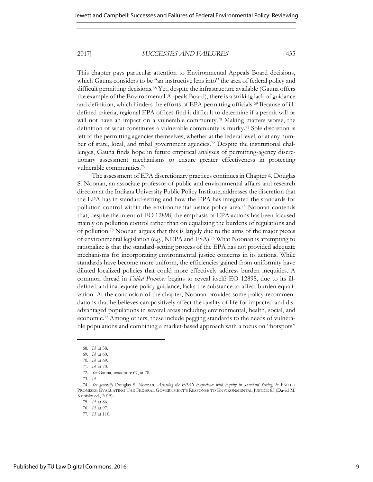This chapter pays particular attention to Environmental Appeals Board decisions, which Gauna considers to be "an instructive lens into" the area of federal policy and difficult permitting decisions.68 Yet, despite the infrastructure available (Gauna offers the example of the Environmental Appeals Board), there is a striking lack of guidance and definition, which hinders the efforts of EPA permitting officials.69 Because of illdefined criteria, regional EPA offices find it difficult to determine if a permit will or will not have an impact on a vulnerable community.70 Making matters worse, the definition of what constitutes a vulnerable community is murky.71 Sole discretion is left to the permitting agencies themselves, whether at the federal level, or at any number of state, local, and tribal government agencies.72 Despite the institutional challenges, Gauna finds hope in future empirical analyses of permitting-agency discretionary assessment mechanisms to ensure greater effectiveness in protecting vulnerable communities.<sup>73</sup>

The assessment of EPA discretionary practices continues in Chapter 4. Douglas S. Noonan, an associate professor of public and environmental affairs and research director at the Indiana University Public Policy Institute, addresses the discretion that the EPA has in standard-setting and how the EPA has integrated the standards for pollution control within the environmental justice policy area.<sup>74</sup> Noonan contends that, despite the intent of EO 12898, the emphasis of EPA actions has been focused mainly on pollution control rather than on equalizing the burdens of regulations and of pollution.75 Noonan argues that this is largely due to the aims of the major pieces of environmental legislation (e.g., NEPA and ESA).76 What Noonan is attempting to rationalize is that the standard-setting process of the EPA has not provided adequate mechanisms for incorporating environmental justice concerns in its actions. While standards have become more uniform, the efficiencies gained from uniformity have diluted localized policies that could more effectively address burden inequities. A common thread in *Failed Promises* begins to reveal itself: EO 12898, due to its illdefined and inadequate policy guidance, lacks the substance to affect burden equalization. At the conclusion of the chapter, Noonan provides some policy recommendations that he believes can positively affect the quality of life for impacted and disadvantaged populations in several areas including environmental, health, social, and economic.77 Among others, these include pegging standards to the needs of vulnerable populations and combining a market-based approach with a focus on "hotspots"

<sup>68.</sup> *Id.* at 58.

<sup>69.</sup> *Id.* at 60.

<sup>70.</sup> *Id.* at 69.

<sup>71.</sup> *Id.* at 70.

<sup>72.</sup> *See* Gauna, *supra* note 67, at 70.

<sup>73.</sup> *Id.* 

<sup>74.</sup> *See generally* Douglas S. Noonan, *Assessing the EPA's Experience with Equity in Standard Setting, in* FAILED PROMISES: EVALUATING THE FEDERAL GOVERNMENT'S RESPONSE TO ENVIRONMENTAL JUSTICE 85 (David M. Konisky ed., 2015).

<sup>75.</sup> *Id.* at 86.

<sup>76.</sup> *Id.* at 97.

<sup>77.</sup> *Id.* at 110.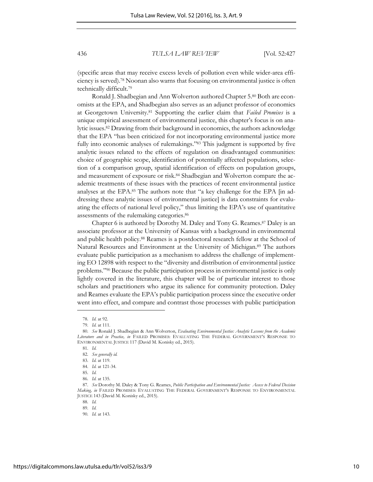(specific areas that may receive excess levels of pollution even while wider-area efficiency is served).78 Noonan also warns that focusing on environmental justice is often technically difficult.<sup>79</sup>

Ronald J. Shadbegian and Ann Wolverton authored Chapter 5.80 Both are economists at the EPA, and Shadbegian also serves as an adjunct professor of economics at Georgetown University.81 Supporting the earlier claim that *Failed Promises* is a unique empirical assessment of environmental justice, this chapter's focus is on analytic issues.82 Drawing from their background in economics, the authors acknowledge that the EPA "has been criticized for not incorporating environmental justice more fully into economic analyses of rulemakings."<sup>83</sup> This judgment is supported by five analytic issues related to the effects of regulation on disadvantaged communities: choice of geographic scope, identification of potentially affected populations, selection of a comparison group, spatial identification of effects on population groups, and measurement of exposure or risk.84 Shadbegian and Wolverton compare the academic treatments of these issues with the practices of recent environmental justice analyses at the EPA.<sup>85</sup> The authors note that "a key challenge for the EPA [in addressing these analytic issues of environmental justice] is data constraints for evaluating the effects of national level policy," thus limiting the EPA's use of quantitative assessments of the rulemaking categories.<sup>86</sup>

Chapter 6 is authored by Dorothy M. Daley and Tony G. Reames.<sup>87</sup> Daley is an associate professor at the University of Kansas with a background in environmental and public health policy.88 Reames is a postdoctoral research fellow at the School of Natural Resources and Environment at the University of Michigan.89 The authors evaluate public participation as a mechanism to address the challenge of implementing EO 12898 with respect to the "diversity and distribution of environmental justice problems." <sup>90</sup> Because the public participation process in environmental justice is only lightly covered in the literature, this chapter will be of particular interest to those scholars and practitioners who argue its salience for community protection. Daley and Reames evaluate the EPA's public participation process since the executive order went into effect, and compare and contrast those processes with public participation

l

88. *Id.* 

<sup>78.</sup> *Id.* at 92.

<sup>79.</sup> *Id.* at 111.

<sup>80.</sup> *See* Ronald J. Shadbegian & Ann Wolverton, *Evaluating Environmental Justice: Analytic Lessons from the Academic Literature and in Practice, in* FAILED PROMISES: EVALUATING THE FEDERAL GOVERNMENT'S RESPONSE TO ENVIRONMENTAL JUSTICE 117 (David M. Konisky ed., 2015).

<sup>81.</sup> *Id.* 

<sup>82.</sup> *See generally id.* 

<sup>83.</sup> *Id.* at 119.

<sup>84.</sup> *Id.* at 121-34.

<sup>85.</sup> *Id.* 

<sup>86.</sup> *Id.* at 135.

<sup>87.</sup> *See* Dorothy M. Daley & Tony G. Reames, *Public Participation and Environmental Justice: Access to Federal Decision Making, in* FAILED PROMISES: EVALUATING THE FEDERAL GOVERNMENT'S RESPONSE TO ENVIRONMENTAL JUSTICE 143 (David M. Konisky ed., 2015).

<sup>89.</sup> *Id.* 

<sup>90.</sup> *Id.* at 143.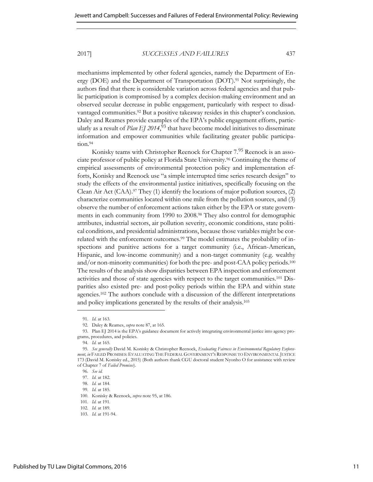mechanisms implemented by other federal agencies, namely the Department of Energy (DOE) and the Department of Transportation (DOT).91 Not surprisingly, the authors find that there is considerable variation across federal agencies and that public participation is compromised by a complex decision-making environment and an observed secular decrease in public engagement, particularly with respect to disadvantaged communities.<sup>92</sup> But a positive takeaway resides in this chapter's conclusion. Daley and Reames provide examples of the EPA's public engagement efforts, particularly as a result of *Plan EJ 2014*, <sup>93</sup> that have become model initiatives to disseminate information and empower communities while facilitating greater public participation.94

Konisky teams with Christopher Reenock for Chapter 7.<sup>95</sup> Reenock is an associate professor of public policy at Florida State University.96 Continuing the theme of empirical assessments of environmental protection policy and implementation efforts, Konisky and Reenock use "a simple interrupted time series research design" to study the effects of the environmental justice initiatives, specifically focusing on the Clean Air Act (CAA).<sup>97</sup> They (1) identify the locations of major pollution sources, (2) characterize communities located within one mile from the pollution sources, and (3) observe the number of enforcement actions taken either by the EPA or state governments in each community from 1990 to 2008.98 They also control for demographic attributes, industrial sectors, air pollution severity, economic conditions, state political conditions, and presidential administrations, because those variables might be correlated with the enforcement outcomes.<sup>99</sup> The model estimates the probability of inspections and punitive actions for a target community (i.e., African-American, Hispanic, and low-income community) and a non-target community (e.g. wealthy and/or non-minority communities) for both the pre- and post-CAA policy periods.<sup>100</sup> The results of the analysis show disparities between EPA inspection and enforcement activities and those of state agencies with respect to the target communities.101 Disparities also existed pre- and post-policy periods within the EPA and within state agencies.102 The authors conclude with a discussion of the different interpretations and policy implications generated by the results of their analysis.<sup>103</sup>

<sup>91.</sup> *Id.* at 163.

<sup>92.</sup> Daley & Reames, *supra* note 87, at 165.

<sup>93.</sup> Plan EJ 2014 is the EPA's guidance document for actively integrating environmental justice into agency programs, procedures, and policies.

<sup>94.</sup> *Id.* at 165.

<sup>95.</sup> *See generally* David M. Konisky & Christopher Reenock, *Evaluating Fairness in Environmental Regulatory Enforcement, in* FAILED PROMISES: EVALUATING THE FEDERAL GOVERNMENT'S RESPONSE TO ENVIRONMENTAL JUSTICE 173 (David M. Konisky ed., 2015) (Both authors thank CGU doctoral student Nyonho O for assistance with review of Chapter 7 of *Failed Promises*).

<sup>96.</sup> *See id.* 

<sup>97.</sup> *Id.* at 182.

<sup>98.</sup> *Id.* at 184.

<sup>99.</sup> *Id.* at 185.

<sup>100.</sup> Konisky & Reenock, *supra* note 95, at 186.

<sup>101.</sup> *Id.* at 191.

<sup>102.</sup> *Id.* at 189.

<sup>103.</sup> *Id.* at 191-94.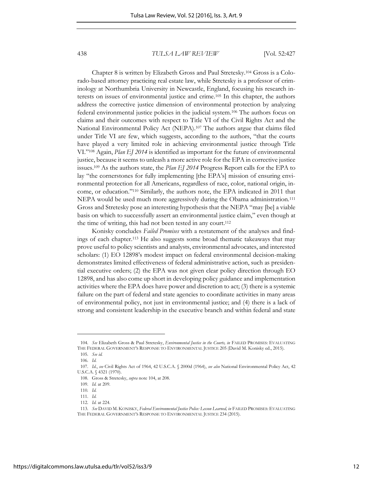Chapter 8 is written by Elizabeth Gross and Paul Stretesky.<sup>104</sup> Gross is a Colorado-based attorney practicing real estate law, while Stretesky is a professor of criminology at Northumbria University in Newcastle, England, focusing his research interests on issues of environmental justice and crime.105 In this chapter, the authors address the corrective justice dimension of environmental protection by analyzing federal environmental justice policies in the judicial system.106 The authors focus on claims and their outcomes with respect to Title VI of the Civil Rights Act and the National Environmental Policy Act (NEPA).107 The authors argue that claims filed under Title VI are few, which suggests, according to the authors, "that the courts have played a very limited role in achieving environmental justice through Title VI." <sup>108</sup> Again, *Plan EJ 2014* is identified as important for the future of environmental justice, because it seems to unleash a more active role for the EPA in corrective justice issues.109 As the authors state, the *Plan EJ 2014* Progress Report calls for the EPA to lay "the cornerstones for fully implementing [the EPA's] mission of ensuring environmental protection for all Americans, regardless of race, color, national origin, income, or education." <sup>110</sup> Similarly, the authors note, the EPA indicated in 2011 that NEPA would be used much more aggressively during the Obama administration.<sup>111</sup> Gross and Stretesky pose an interesting hypothesis that the NEPA "may [be] a viable basis on which to successfully assert an environmental justice claim," even though at the time of writing, this had not been tested in any court.<sup>112</sup>

Konisky concludes *Failed Promises* with a restatement of the analyses and findings of each chapter.113 He also suggests some broad thematic takeaways that may prove useful to policy scientists and analysts, environmental advocates, and interested scholars: (1) EO 12898's modest impact on federal environmental decision-making demonstrates limited effectiveness of federal administrative action, such as presidential executive orders; (2) the EPA was not given clear policy direction through EO 12898, and has also come up short in developing policy guidance and implementation activities where the EPA does have power and discretion to act; (3) there is a systemic failure on the part of federal and state agencies to coordinate activities in many areas of environmental policy, not just in environmental justice; and (4) there is a lack of strong and consistent leadership in the executive branch and within federal and state

<sup>104.</sup> *See* Elizabeth Gross & Paul Stretesky, *Environmental Justice in the Courts, in* FAILED PROMISES: EVALUATING THE FEDERAL GOVERNMENT'S RESPONSE TO ENVIRONMENTAL JUSTICE 205 (David M. Konisky ed., 2015).

<sup>105.</sup> *See id.* 

<sup>106.</sup> *Id.* 

<sup>107.</sup> *Id.*, *see* Civil Rights Act of 1964, 42 U.S.C.A. § 2000d (1964), *see also* National Environmental Policy Act, 42 U.S.C.A. § 4321 (1970).

<sup>108.</sup> Gross & Stretesky, *supra* note 104, at 208.

<sup>109.</sup> *Id.* at 209.

<sup>110</sup>*. Id.* 

<sup>111.</sup> *Id.* 

<sup>112.</sup> *Id.* at 224.

<sup>113.</sup> *See* DAVID M. KONISKY, *Federal Environmental Justice Police: Lesson Learned, in* FAILED PROMISES: EVALUATING THE FEDERAL GOVERNMENT'S RESPONSE TO ENVIRONMENTAL JUSTICE 234 (2015).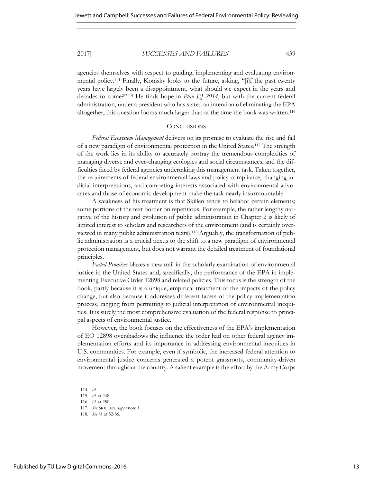agencies themselves with respect to guiding, implementing and evaluating environmental policy.114 Finally, Konisky looks to the future, asking, "[i]f the past twenty years have largely been a disappointment, what should we expect in the years and decades to come?" <sup>115</sup> He finds hope in *Plan EJ 2014*, but with the current federal administration, under a president who has stated an intention of eliminating the EPA altogether, this question looms much larger than at the time the book was written.<sup>116</sup>

## **CONCLUSIONS**

*Federal Ecosystem Management* delivers on its promise to evaluate the rise and fall of a new paradigm of environmental protection in the United States.<sup>117</sup> The strength of the work lies in its ability to accurately portray the tremendous complexities of managing diverse and ever-changing ecologies and social circumstances, and the difficulties faced by federal agencies undertaking this management task. Taken together, the requirements of federal environmental laws and policy compliance, changing judicial interpretations, and competing interests associated with environmental advocates and those of economic development make the task nearly insurmountable.

A weakness of his treatment is that Skillen tends to belabor certain elements; some portions of the text border on repetitious. For example, the rather lengthy narrative of the history and evolution of public administration in Chapter 2 is likely of limited interest to scholars and researchers of the environment (and is certainly overviewed in many public administration texts).118 Arguably, the transformation of public administration is a crucial nexus to the shift to a new paradigm of environmental protection management, but does not warrant the detailed treatment of foundational principles.

*Failed Promises* blazes a new trail in the scholarly examination of environmental justice in the United States and, specifically, the performance of the EPA in implementing Executive Order 12898 and related policies. This focus is the strength of the book, partly because it is a unique, empirical treatment of the impacts of the policy change, but also because it addresses different facets of the policy implementation process, ranging from permitting to judicial interpretation of environmental inequities. It is surely the most comprehensive evaluation of the federal response to principal aspects of environmental justice.

However, the book focuses on the effectiveness of the EPA's implementation of EO 12898 overshadows the influence the order had on other federal agency implementation efforts and its importance in addressing environmental inequities in U.S. communities. For example, even if symbolic, the increased federal attention to environmental justice concerns generated a potent grassroots, community-driven movement throughout the country. A salient example is the effort by the Army Corps

<sup>114.</sup> *Id.* 

<sup>115.</sup> *Id.* at 248.

<sup>116.</sup> *Id.* at 250.

<sup>117.</sup> *See* SKILLEN, *supra* note 1.

<sup>118.</sup> *See id.* at 52-86.